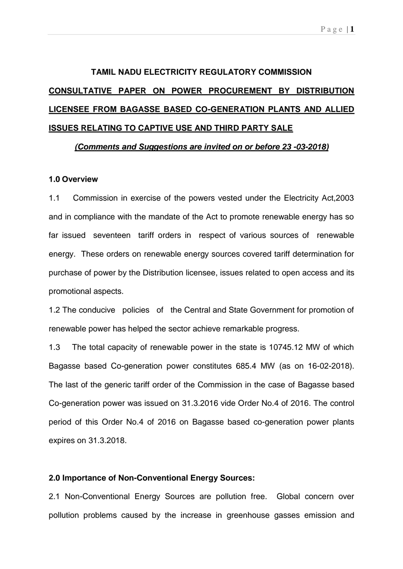# **TAMIL NADU ELECTRICITY REGULATORY COMMISSION CONSULTATIVE PAPER ON POWER PROCUREMENT BY DISTRIBUTION LICENSEE FROM BAGASSE BASED CO-GENERATION PLANTS AND ALLIED ISSUES RELATING TO CAPTIVE USE AND THIRD PARTY SALE**

### **(Comments and Suggestions are invited on or before 23 -03-2018)**

### **1.0 Overview**

1.1 Commission in exercise of the powers vested under the Electricity Act,2003 and in compliance with the mandate of the Act to promote renewable energy has so far issued seventeen tariff orders in respect of various sources of renewable energy. These orders on renewable energy sources covered tariff determination for purchase of power by the Distribution licensee, issues related to open access and its promotional aspects.

1.2 The conducive policies of the Central and State Government for promotion of renewable power has helped the sector achieve remarkable progress.

1.3 The total capacity of renewable power in the state is 10745.12 MW of which Bagasse based Co-generation power constitutes 685.4 MW (as on 16-02-2018). The last of the generic tariff order of the Commission in the case of Bagasse based Co-generation power was issued on 31.3.2016 vide Order No.4 of 2016. The control period of this Order No.4 of 2016 on Bagasse based co-generation power plants expires on 31.3.2018.

#### **2.0 Importance of Non-Conventional Energy Sources:**

2.1 Non-Conventional Energy Sources are pollution free. Global concern over pollution problems caused by the increase in greenhouse gasses emission and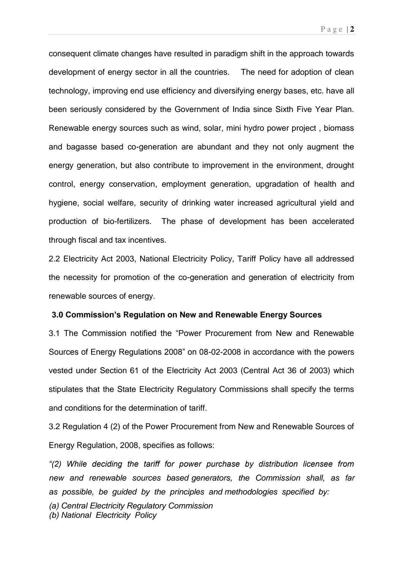consequent climate changes have resulted in paradigm shift in the approach towards development of energy sector in all the countries. The need for adoption of clean technology, improving end use efficiency and diversifying energy bases, etc. have all been seriously considered by the Government of India since Sixth Five Year Plan. Renewable energy sources such as wind, solar, mini hydro power project , biomass and bagasse based co-generation are abundant and they not only augment the energy generation, but also contribute to improvement in the environment, drought control, energy conservation, employment generation, upgradation of health and hygiene, social welfare, security of drinking water increased agricultural yield and production of bio-fertilizers. The phase of development has been accelerated through fiscal and tax incentives.

2.2 Electricity Act 2003, National Electricity Policy, Tariff Policy have all addressed the necessity for promotion of the co-generation and generation of electricity from renewable sources of energy.

### **3.0 Commission's Regulation on New and Renewable Energy Sources**

3.1 The Commission notified the "Power Procurement from New and Renewable Sources of Energy Regulations 2008" on 08-02-2008 in accordance with the powers vested under Section 61 of the Electricity Act 2003 (Central Act 36 of 2003) which stipulates that the State Electricity Regulatory Commissions shall specify the terms and conditions for the determination of tariff.

3.2 Regulation 4 (2) of the Power Procurement from New and Renewable Sources of Energy Regulation, 2008, specifies as follows:

 $f(2)$  While deciding the tariff for power purchase by distribution licensee from new and renewable sources based generators, the Commission shall, as far as possible, be guided by the principles and methodologies specified by:

(a) Central Electricity Regulatory Commission

(b) National Electricity Policy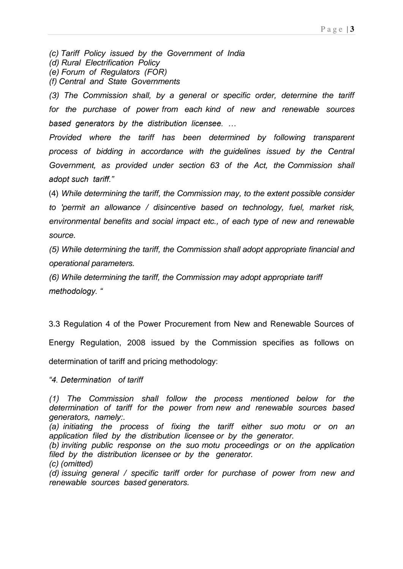(c) Tariff Policy issued by the Government of India

(d) Rural Electrification Policy

(e) Forum of Regulators (FOR)

(f) Central and State Governments

(3) The Commission shall, by a general or specific order, determine the tariff for the purchase of power from each kind of new and renewable sources *based generators by the distribution licensee. ...* 

Provided where the tariff has been determined by following transparent process of bidding in accordance with the guidelines issued by the Central Government, as provided under section 63 of the Act, the Commission shall adopt such tariff."

(4) While determining the tariff, the Commission may, to the extent possible consider to 'permit an allowance / disincentive based on technology, fuel, market risk, environmental benefits and social impact etc., of each type of new and renewable source.

(5) While determining the tariff, the Commission shall adopt appropriate financial and operational parameters.

(6) While determining the tariff, the Commission may adopt appropriate tariff *methodology.* "

3.3 Regulation 4 of the Power Procurement from New and Renewable Sources of

Energy Regulation, 2008 issued by the Commission specifies as follows on

determination of tariff and pricing methodology:

*Ð60"Fgvgtokpcvkqp"""*of tariff

(a) initiating the process of fixing the tariff either suo motu or on an application filed by the distribution licensee or by the generator.

(b) inviting public response on the suo motu proceedings or on the application filed by the distribution licensee or by the generator.

(c) (omitted)

(d) issuing general / specific tariff order for purchase of power from new and renewable sources based generators.

<sup>(1)</sup> The Commission shall follow the process mentioned below for the determination of tariff for the power from new and renewable sources based generators, namely:.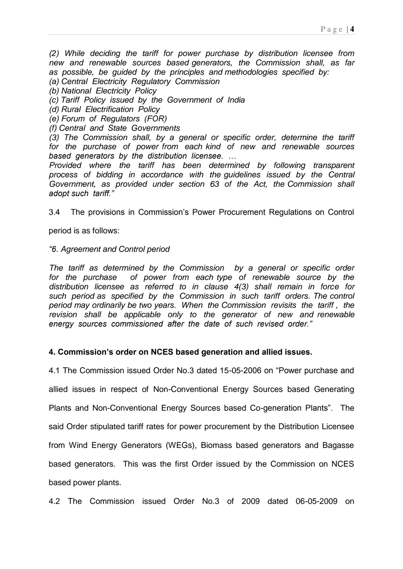(2) While deciding the tariff for power purchase by distribution licensee from new and renewable sources based generators, the Commission shall, as far as possible, be guided by the principles and methodologies specified by:

- (a) Central Electricity Regulatory Commission
- (b) National Electricity Policy
- (c) Tariff Policy issued by the Government of India
- (d) Rural Electrification Policy
- (e) Forum of Regulators (FOR)
- (f) Central and State Governments

(3) The Commission shall, by a general or specific order, determine the tariff for the purchase of power from each kind of new and renewable sources *based generators by the distribution licensee. ...* 

Provided where the tariff has been determined by following transparent process of bidding in accordance with the guidelines issued by the Central Government, as provided under section 63 of the Act, the Commission shall adopt such tariff."

3.4 The provisions in Commission's Power Procurement Requlations on Control

period is as follows:

*Ð8*. Agreement and Control period

The tariff as determined by the Commission by a general or specific order for the purchase of power from each type of renewable source by the distribution licensee as referred to in clause 4(3) shall remain in force for such period as specified by the Commission in such tariff orders. The control period may ordinarily be two years. When the Commission revisits the tariff , the revision shall be applicable only to the generator of new and renewable energy sources commissioned after the date of such revised order."

### 4. Commission's order on NCES based generation and allied issues.

4.1 The Commission issued Order No.3 dated 15-05-2006 on "Power purchase and allied issues in respect of Non-Conventional Energy Sources based Generating Plants and Non-Conventional Energy Sources based Co-generation Plants". The said Order stipulated tariff rates for power procurement by the Distribution Licensee from Wind Energy Generators (WEGs), Biomass based generators and Bagasse based generators. This was the first Order issued by the Commission on NCES based power plants.

4.2 The Commission issued Order No.3 of 2009 dated 06-05-2009 on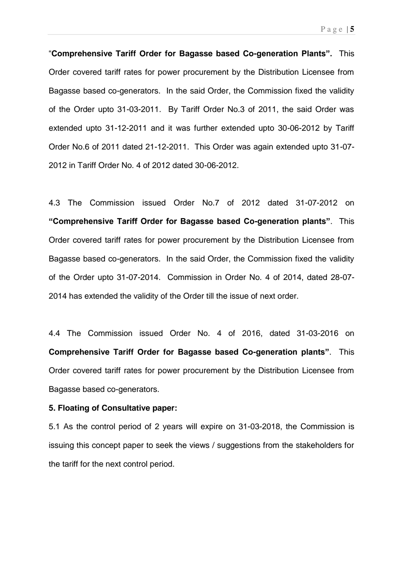P a g e | **5** 

**"Comprehensive Tariff Order for Bagasse based Co-generation Plants". This** Order covered tariff rates for power procurement by the Distribution Licensee from Bagasse based co-generators. In the said Order, the Commission fixed the validity of the Order upto 31-03-2011. By Tariff Order No.3 of 2011, the said Order was extended upto 31-12-2011 and it was further extended upto 30-06-2012 by Tariff Order No.6 of 2011 dated 21-12-2011. This Order was again extended upto 31-07- 2012 in Tariff Order No. 4 of 2012 dated 30-06-2012.

4.3 The Commission issued Order No.7 of 2012 dated 31-07-2012 on **"Comprehensive Tariff Order for Bagasse based Co-generation plants". This** Order covered tariff rates for power procurement by the Distribution Licensee from Bagasse based co-generators. In the said Order, the Commission fixed the validity of the Order upto 31-07-2014. Commission in Order No. 4 of 2014, dated 28-07- 2014 has extended the validity of the Order till the issue of next order.

4.4 The Commission issued Order No. 4 of 2016, dated 31-03-2016 on **Comprehensive Tariff Order for Bagasse based Co-generation plants". This** Order covered tariff rates for power procurement by the Distribution Licensee from Bagasse based co-generators.

#### **5. Floating of Consultative paper:**

5.1 As the control period of 2 years will expire on 31-03-2018, the Commission is issuing this concept paper to seek the views / suggestions from the stakeholders for the tariff for the next control period.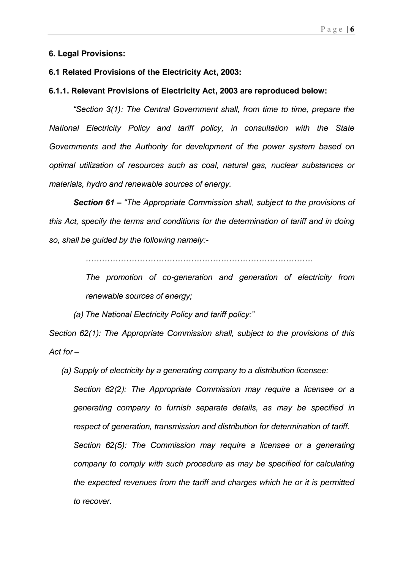### **6. Legal Provisions:**

### **6.1 Related Provisions of the Electricity Act, 2003:**

### **6.1.1. Relevant Provisions of Electricity Act, 2003 are reproduced below:**

*<sup>"</sup>Section 3(1): The Central Government shall, from time to time, prepare the* National Electricity Policy and tariff policy, in consultation with the State Governments and the Authority for development of the power system based on optimal utilization of resources such as coal, natural gas, nuclear substances or materials, hydro and renewable sources of energy.

**Section 61 –** *<sup><i>The Appropriate Commission shall, subject to the provisions of*</sup> this Act, specify the terms and conditions for the determination of tariff and in doing so, shall be guided by the following namely:-

*ÈÈÈÈÈÈÈÈÈÈÈÈÈÈÈÈÈÈÈÈÈÈÈÈÈÈÈÈ*

The promotion of co-generation and generation of electricity from renewable sources of energy;

(a) The National Electricity Policy and tariff policy:"

Section 62(1): The Appropriate Commission shall, subject to the provisions of this Act for –

(a) Supply of electricity by a generating company to a distribution licensee:

Section 62(2): The Appropriate Commission may require a licensee or a generating company to furnish separate details, as may be specified in respect of generation, transmission and distribution for determination of tariff. Section 62(5): The Commission may require a licensee or a generating company to comply with such procedure as may be specified for calculating the expected revenues from the tariff and charges which he or it is permitted to recover.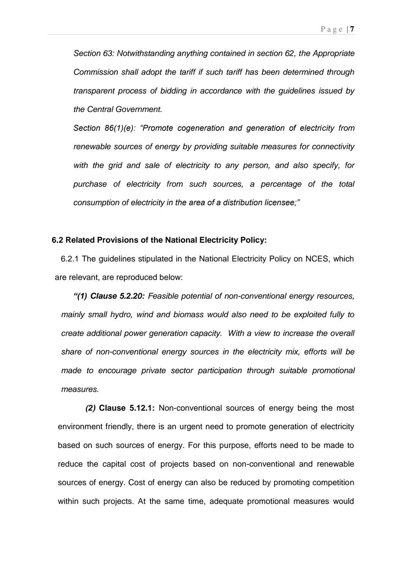Section 63: Notwithstanding anything contained in section 62, the Appropriate Commission shall adopt the tariff if such tariff has been determined through transparent process of bidding in accordance with the guidelines issued by the Central Government.

Section 86(1)(e): "Promote cogeneration and generation of electricity from renewable sources of energy by providing suitable measures for connectivity with the grid and sale of electricity to any person, and also specify, for purchase of electricity from such sources, a percentage of the total consumption of electricity in the area of a distribution licensee;"

### **6.2 Related Provisions of the National Electricity Policy:**

6.2.1 The guidelines stipulated in the National Electricity Policy on NCES, which are relevant, are reproduced below:

*Ð\*3+* **Clause 5.2.20:** Feasible potential of non-conventional energy resources, mainly small hydro, wind and biomass would also need to be exploited fully to create additional power generation capacity. With a view to increase the overall share of non-conventional energy sources in the electricity mix, efforts will be made to encourage private sector participation through suitable promotional measures.

**(2) Clause 5.12.1:** Non-conventional sources of energy being the most environment friendly, there is an urgent need to promote generation of electricity based on such sources of energy. For this purpose, efforts need to be made to reduce the capital cost of projects based on non-conventional and renewable sources of energy. Cost of energy can also be reduced by promoting competition within such projects. At the same time, adequate promotional measures would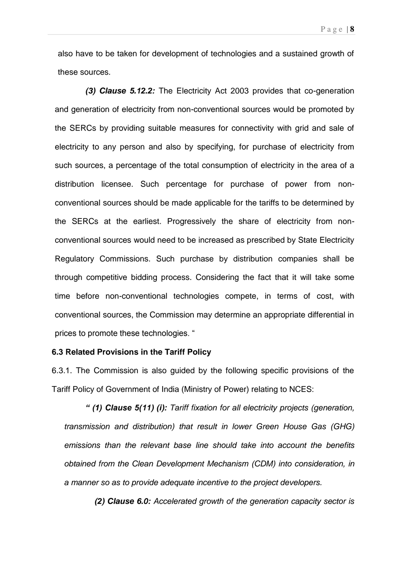also have to be taken for development of technologies and a sustained growth of these sources.

**(3) Clause 5.12.2:** The Electricity Act 2003 provides that co-generation and generation of electricity from non-conventional sources would be promoted by the SERCs by providing suitable measures for connectivity with grid and sale of electricity to any person and also by specifying, for purchase of electricity from such sources, a percentage of the total consumption of electricity in the area of a distribution licensee. Such percentage for purchase of power from nonconventional sources should be made applicable for the tariffs to be determined by the SERCs at the earliest. Progressively the share of electricity from nonconventional sources would need to be increased as prescribed by State Electricity Regulatory Commissions. Such purchase by distribution companies shall be through competitive bidding process. Considering the fact that it will take some time before non-conventional technologies compete, in terms of cost, with conventional sources, the Commission may determine an appropriate differential in prices to promote these technologies. "

### **6.3 Related Provisions in the Tariff Policy**

6.3.1. The Commission is also guided by the following specific provisions of the Tariff Policy of Government of India (Ministry of Power) relating to NCES:

<sup>"</sup> (1) Clause 5(11) (i): Tariff fixation for all electricity projects (generation, transmission and distribution) that result in lower Green House Gas (GHG) emissions than the relevant base line should take into account the benefits obtained from the Clean Development Mechanism (CDM) into consideration, in a manner so as to provide adequate incentive to the project developers.

**(2) Clause 6.0:** Accelerated growth of the generation capacity sector is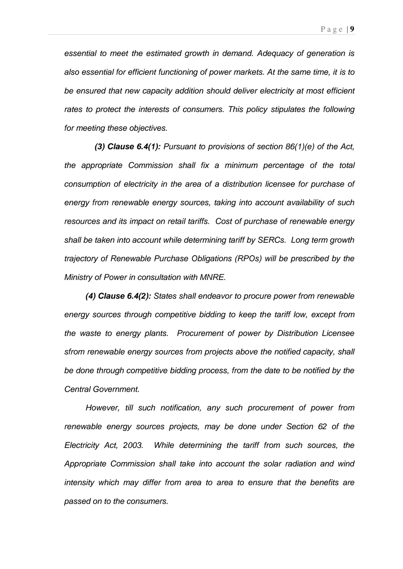essential to meet the estimated growth in demand. Adequacy of generation is also essential for efficient functioning of power markets. At the same time, it is to be ensured that new capacity addition should deliver electricity at most efficient rates to protect the interests of consumers. This policy stipulates the following for meeting these objectives.

 **(3) Clause 6.4(1):** Pursuant to provisions of section 86(1)(e) of the Act, the appropriate Commission shall fix a minimum percentage of the total consumption of electricity in the area of a distribution licensee for purchase of energy from renewable energy sources, taking into account availability of such resources and its impact on retail tariffs. Cost of purchase of renewable energy shall be taken into account while determining tariff by SERCs. Long term growth trajectory of Renewable Purchase Obligations (RPOs) will be prescribed by the Ministry of Power in consultation with MNRE.

**(4) Clause 6.4(2):** States shall endeavor to procure power from renewable energy sources through competitive bidding to keep the tariff low, except from the waste to energy plants. Procurement of power by Distribution Licensee sfrom renewable energy sources from projects above the notified capacity, shall be done through competitive bidding process, from the date to be notified by the Central Government.

However, till such notification, any such procurement of power from renewable energy sources projects, may be done under Section 62 of the Electricity Act, 2003. While determining the tariff from such sources, the Appropriate Commission shall take into account the solar radiation and wind intensity which may differ from area to area to ensure that the benefits are passed on to the consumers.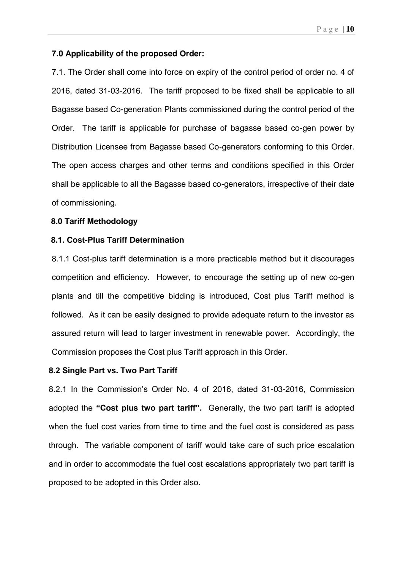#### P a g e | **10**

#### **7.0 Applicability of the proposed Order:**

7.1. The Order shall come into force on expiry of the control period of order no. 4 of 2016, dated 31-03-2016. The tariff proposed to be fixed shall be applicable to all Bagasse based Co-generation Plants commissioned during the control period of the Order. The tariff is applicable for purchase of bagasse based co-gen power by Distribution Licensee from Bagasse based Co-generators conforming to this Order. The open access charges and other terms and conditions specified in this Order shall be applicable to all the Bagasse based co-generators, irrespective of their date of commissioning.

### **8.0 Tariff Methodology**

### **8.1. Cost-Plus Tariff Determination**

8.1.1 Cost-plus tariff determination is a more practicable method but it discourages competition and efficiency. However, to encourage the setting up of new co-gen plants and till the competitive bidding is introduced, Cost plus Tariff method is followed. As it can be easily designed to provide adequate return to the investor as assured return will lead to larger investment in renewable power. Accordingly, the Commission proposes the Cost plus Tariff approach in this Order.

### **8.2 Single Part vs. Two Part Tariff**

8.2.1 In the Commission's Order No. 4 of 2016, dated 31-03-2016, Commission adopted the "Cost plus two part tariff". Generally, the two part tariff is adopted when the fuel cost varies from time to time and the fuel cost is considered as pass through. The variable component of tariff would take care of such price escalation and in order to accommodate the fuel cost escalations appropriately two part tariff is proposed to be adopted in this Order also.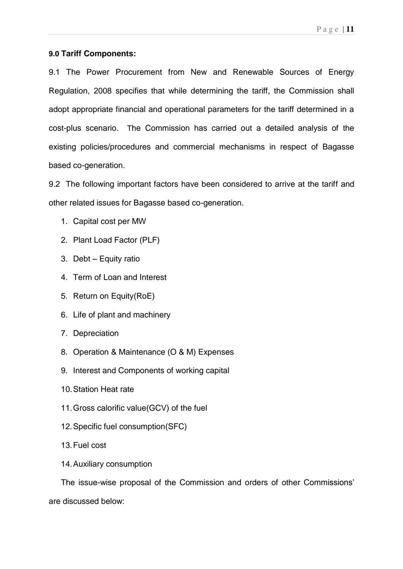### **9.0 Tariff Components:**

9.1 The Power Procurement from New and Renewable Sources of Energy Regulation, 2008 specifies that while determining the tariff, the Commission shall adopt appropriate financial and operational parameters for the tariff determined in a cost-plus scenario. The Commission has carried out a detailed analysis of the existing policies/procedures and commercial mechanisms in respect of Bagasse based co-generation.

9.2 The following important factors have been considered to arrive at the tariff and other related issues for Bagasse based co-generation.

- 1. Capital cost per MW
- 2. Plant Load Factor (PLF)
- 3. Debt  $-$  Equity ratio
- 4. Term of Loan and Interest
- 5. Return on Equity(RoE)
- 6. Life of plant and machinery
- 7. Depreciation
- 8. Operation & Maintenance (O & M) Expenses
- 9. Interest and Components of working capital
- 10. Station Heat rate
- 11. Gross calorific value(GCV) of the fuel
- 12. Specific fuel consumption(SFC)
- 13. Fuel cost
- 14. Auxiliary consumption

The issue-wise proposal of the Commission and orders of other Commissions' are discussed below: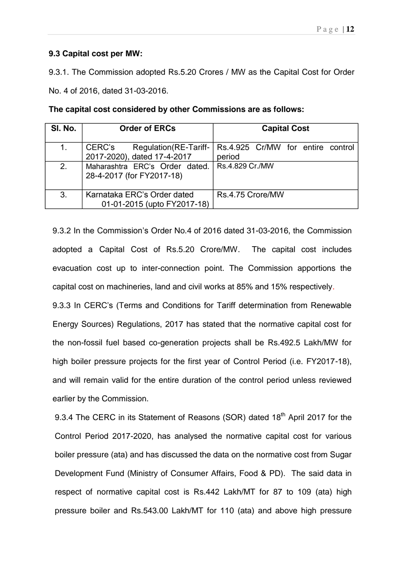### **9.3 Capital cost per MW:**

9.3.1. The Commission adopted Rs.5.20 Crores / MW as the Capital Cost for Order

No. 4 of 2016, dated 31-03-2016.

| SI. No. | <b>Order of ERCs</b>                                            | <b>Capital Cost</b>                         |
|---------|-----------------------------------------------------------------|---------------------------------------------|
| 1.      | CERC's<br>Regulation (RE-Tariff-<br>2017-2020), dated 17-4-2017 | Rs.4.925 Cr/MW for entire control<br>period |
| 2.      | Maharashtra ERC's Order dated.<br>28-4-2017 (for FY2017-18)     | Rs.4.829 Cr./MW                             |
| 3.      | Karnataka ERC's Order dated<br>01-01-2015 (upto FY2017-18)      | Rs.4.75 Crore/MW                            |

**The capital cost considered by other Commissions are as follows:** 

9.3.2 In the Commission's Order No.4 of 2016 dated 31-03-2016, the Commission adopted a Capital Cost of Rs.5.20 Crore/MW. The capital cost includes evacuation cost up to inter-connection point. The Commission apportions the capital cost on machineries, land and civil works at 85% and 15% respectively.

9.3.3 In CERC's (Terms and Conditions for Tariff determination from Renewable Energy Sources) Regulations, 2017 has stated that the normative capital cost for the non-fossil fuel based co-generation projects shall be Rs.492.5 Lakh/MW for high boiler pressure projects for the first year of Control Period (i.e. FY2017-18), and will remain valid for the entire duration of the control period unless reviewed earlier by the Commission.

9.3.4 The CERC in its Statement of Reasons (SOR) dated 18<sup>th</sup> April 2017 for the Control Period 2017-2020, has analysed the normative capital cost for various boiler pressure (ata) and has discussed the data on the normative cost from Sugar Development Fund (Ministry of Consumer Affairs, Food & PD). The said data in respect of normative capital cost is Rs.442 Lakh/MT for 87 to 109 (ata) high pressure boiler and Rs.543.00 Lakh/MT for 110 (ata) and above high pressure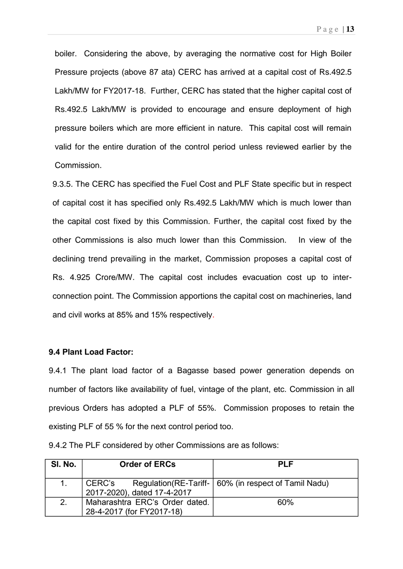boiler. Considering the above, by averaging the normative cost for High Boiler Pressure projects (above 87 ata) CERC has arrived at a capital cost of Rs.492.5 Lakh/MW for FY2017-18. Further, CERC has stated that the higher capital cost of Rs.492.5 Lakh/MW is provided to encourage and ensure deployment of high pressure boilers which are more efficient in nature. This capital cost will remain valid for the entire duration of the control period unless reviewed earlier by the Commission.

9.3.5. The CERC has specified the Fuel Cost and PLF State specific but in respect of capital cost it has specified only Rs.492.5 Lakh/MW which is much lower than the capital cost fixed by this Commission. Further, the capital cost fixed by the other Commissions is also much lower than this Commission. In view of the declining trend prevailing in the market, Commission proposes a capital cost of Rs. 4.925 Crore/MW. The capital cost includes evacuation cost up to interconnection point. The Commission apportions the capital cost on machineries, land and civil works at 85% and 15% respectively.

#### **9.4 Plant Load Factor:**

9.4.1 The plant load factor of a Bagasse based power generation depends on number of factors like availability of fuel, vintage of the plant, etc. Commission in all previous Orders has adopted a PLF of 55%. Commission proposes to retain the existing PLF of 55 % for the next control period too.

| SI. No. | <b>Order of ERCs</b>                                        | <b>PLF</b>                                              |
|---------|-------------------------------------------------------------|---------------------------------------------------------|
|         | CERC's<br>2017-2020), dated 17-4-2017                       | Regulation (RE-Tariff-   60% (in respect of Tamil Nadu) |
| 2.      | Maharashtra ERC's Order dated.<br>28-4-2017 (for FY2017-18) | 60%                                                     |

9.4.2 The PLF considered by other Commissions are as follows: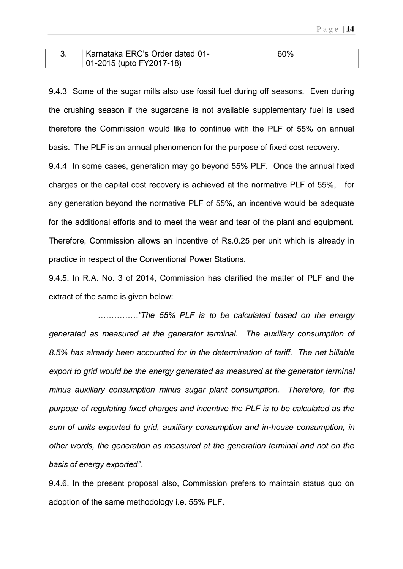| Karnataka ERC's Order dated 01- | 60% |
|---------------------------------|-----|
| 01-2015 (upto FY2017-18)        |     |

9.4.3 Some of the sugar mills also use fossil fuel during off seasons. Even during the crushing season if the sugarcane is not available supplementary fuel is used therefore the Commission would like to continue with the PLF of 55% on annual basis. The PLF is an annual phenomenon for the purpose of fixed cost recovery.

9.4.4 In some cases, generation may go beyond 55% PLF. Once the annual fixed charges or the capital cost recovery is achieved at the normative PLF of 55%, for any generation beyond the normative PLF of 55%, an incentive would be adequate for the additional efforts and to meet the wear and tear of the plant and equipment. Therefore, Commission allows an incentive of Rs.0.25 per unit which is already in practice in respect of the Conventional Power Stations.

9.4.5. In R.A. No. 3 of 2014, Commission has clarified the matter of PLF and the extract of the same is given below:

*ÈÈÈÈÈÑVjg" 77'" RNH" ku* to be calculated based on the energy generated as measured at the generator terminal. The auxiliary consumption of 8.5% has already been accounted for in the determination of tariff. The net billable export to grid would be the energy generated as measured at the generator terminal minus auxiliary consumption minus sugar plant consumption. Therefore, for the purpose of regulating fixed charges and incentive the PLF is to be calculated as the sum of units exported to grid, auxiliary consumption and in-house consumption, in other words, the generation as measured at the generation terminal and not on the basis of energy exported".

9.4.6. In the present proposal also, Commission prefers to maintain status quo on adoption of the same methodology i.e. 55% PLF.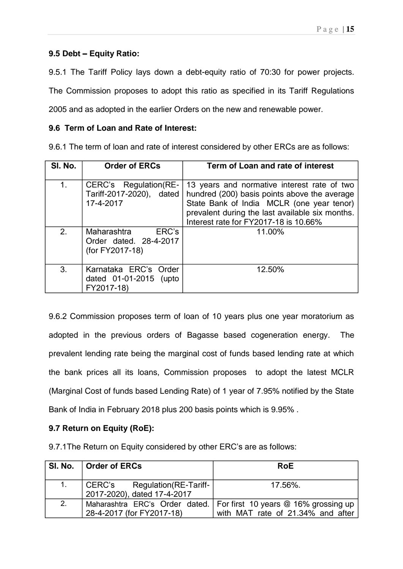### **9.5 Debt Î Equity Ratio:**

9.5.1 The Tariff Policy lays down a debt-equity ratio of 70:30 for power projects.

The Commission proposes to adopt this ratio as specified in its Tariff Regulations

2005 and as adopted in the earlier Orders on the new and renewable power.

### **9.6 Term of Loan and Rate of Interest:**

9.6.1 The term of loan and rate of interest considered by other ERCs are as follows:

| SI. No.        | <b>Order of ERCs</b>                                              | Term of Loan and rate of interest                                                                                                                                                                                                    |
|----------------|-------------------------------------------------------------------|--------------------------------------------------------------------------------------------------------------------------------------------------------------------------------------------------------------------------------------|
| 1 <sub>1</sub> | CERC's Regulation(RE-<br>Tariff-2017-2020), dated<br>17-4-2017    | 13 years and normative interest rate of two<br>hundred (200) basis points above the average<br>State Bank of India MCLR (one year tenor)<br>prevalent during the last available six months.<br>Interest rate for FY2017-18 is 10.66% |
| 2.             | ERC's<br>Maharashtra<br>Order dated. 28-4-2017<br>(for FY2017-18) | 11.00%                                                                                                                                                                                                                               |
| 3.             | Karnataka ERC's Order<br>dated 01-01-2015 (upto<br>FY2017-18)     | 12.50%                                                                                                                                                                                                                               |

9.6.2 Commission proposes term of loan of 10 years plus one year moratorium as adopted in the previous orders of Bagasse based cogeneration energy. The prevalent lending rate being the marginal cost of funds based lending rate at which the bank prices all its loans, Commission proposes to adopt the latest MCLR (Marginal Cost of funds based Lending Rate) of 1 year of 7.95% notified by the State Bank of India in February 2018 plus 200 basis points which is 9.95% .

### **9.7 Return on Equity (RoE):**

9.7.1 The Return on Equity considered by other ERC's are as follows:

|    | SI. No.   Order of ERCs                                         | <b>RoE</b>                                                                                                 |
|----|-----------------------------------------------------------------|------------------------------------------------------------------------------------------------------------|
| 1. | Regulation (RE-Tariff-<br>CERC's<br>2017-2020), dated 17-4-2017 | 17.56%.                                                                                                    |
| 2. | 28-4-2017 (for FY2017-18)                                       | Maharashtra ERC's Order dated.   For first 10 years @ 16% grossing up<br>with MAT rate of 21.34% and after |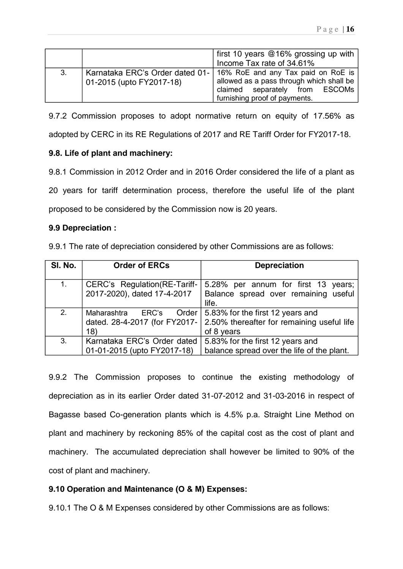|    |                                                               | first 10 years $@16\%$ grossing up with<br>Income Tax rate of 34.61%                                                                              |
|----|---------------------------------------------------------------|---------------------------------------------------------------------------------------------------------------------------------------------------|
| 3. | Karnataka ERC's Order dated 01-  <br>01-2015 (upto FY2017-18) | 16% RoE and any Tax paid on RoE is<br>allowed as a pass through which shall be<br>claimed separately from ESCOMs<br>furnishing proof of payments. |

9.7.2 Commission proposes to adopt normative return on equity of 17.56% as

adopted by CERC in its RE Regulations of 2017 and RE Tariff Order for FY2017-18.

### **9.8. Life of plant and machinery:**

9.8.1 Commission in 2012 Order and in 2016 Order considered the life of a plant as

20 years for tariff determination process, therefore the useful life of the plant proposed to be considered by the Commission now is 20 years.

### **9.9 Depreciation :**

9.9.1 The rate of depreciation considered by other Commissions are as follows:

| SI. No. | <b>Order of ERCs</b>                                                  | <b>Depreciation</b>                                                                          |
|---------|-----------------------------------------------------------------------|----------------------------------------------------------------------------------------------|
| 1.      | CERC's Regulation (RE-Tariff-<br>2017-2020), dated 17-4-2017          | 5.28% per annum for first 13 years;<br>Balance spread over remaining useful<br>life.         |
| 2.      | Order<br>Maharashtra<br>ERC's<br>dated. 28-4-2017 (for FY2017-<br>18) | 5.83% for the first 12 years and<br>2.50% thereafter for remaining useful life<br>of 8 years |
| 3.      | Karnataka ERC's Order dated<br>01-01-2015 (upto FY2017-18)            | 5.83% for the first 12 years and<br>balance spread over the life of the plant.               |

9.9.2 The Commission proposes to continue the existing methodology of depreciation as in its earlier Order dated 31-07-2012 and 31-03-2016 in respect of Bagasse based Co-generation plants which is 4.5% p.a. Straight Line Method on plant and machinery by reckoning 85% of the capital cost as the cost of plant and machinery. The accumulated depreciation shall however be limited to 90% of the cost of plant and machinery.

### **9.10 Operation and Maintenance (O & M) Expenses:**

9.10.1 The O & M Expenses considered by other Commissions are as follows: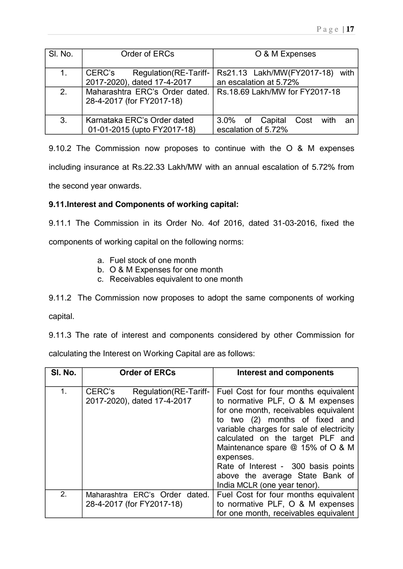| SI. No. | Order of ERCs                    | O & M Expenses                        |
|---------|----------------------------------|---------------------------------------|
|         |                                  |                                       |
|         |                                  |                                       |
| 1.      | CERC's<br>Regulation (RE-Tariff- | Rs21.13 Lakh/MW(FY2017-18)<br>with    |
|         |                                  |                                       |
|         | 2017-2020), dated 17-4-2017      | an escalation at 5.72%                |
| 2.      | Maharashtra ERC's Order dated.   | Rs. 18.69 Lakh/MW for FY2017-18       |
|         |                                  |                                       |
|         | 28-4-2017 (for FY2017-18)        |                                       |
|         |                                  |                                       |
|         |                                  |                                       |
| 3.      | Karnataka ERC's Order dated      |                                       |
|         |                                  | 3.0% of Capital<br>Cost<br>with<br>an |
|         | 01-01-2015 (upto FY2017-18)      | escalation of 5.72%                   |
|         |                                  |                                       |

9.10.2 The Commission now proposes to continue with the O & M expenses including insurance at Rs.22.33 Lakh/MW with an annual escalation of 5.72% from the second year onwards.

### **9.11.Interest and Components of working capital:**

9.11.1 The Commission in its Order No. 4of 2016, dated 31-03-2016, fixed the

components of working capital on the following norms:

- a. Fuel stock of one month
- b. O & M Expenses for one month
- c. Receivables equivalent to one month

9.11.2 The Commission now proposes to adopt the same components of working

capital.

9.11.3 The rate of interest and components considered by other Commission for

calculating the Interest on Working Capital are as follows:

| SI. No. | <b>Order of ERCs</b>                                            | <b>Interest and components</b>                                                                                                                                                                                                                                                                                                                                                                    |
|---------|-----------------------------------------------------------------|---------------------------------------------------------------------------------------------------------------------------------------------------------------------------------------------------------------------------------------------------------------------------------------------------------------------------------------------------------------------------------------------------|
| 1.      | CERC's<br>Regulation (RE-Tariff-<br>2017-2020), dated 17-4-2017 | Fuel Cost for four months equivalent<br>to normative PLF, O & M expenses<br>for one month, receivables equivalent<br>to two (2) months of fixed<br>and<br>variable charges for sale of electricity<br>calculated on the target PLF and<br>Maintenance spare @ 15% of O & M<br>expenses.<br>Rate of Interest - 300 basis points<br>above the average State Bank of<br>India MCLR (one year tenor). |
| 2.      | Maharashtra ERC's Order dated.<br>28-4-2017 (for FY2017-18)     | Fuel Cost for four months equivalent<br>to normative PLF, O & M expenses<br>for one month, receivables equivalent                                                                                                                                                                                                                                                                                 |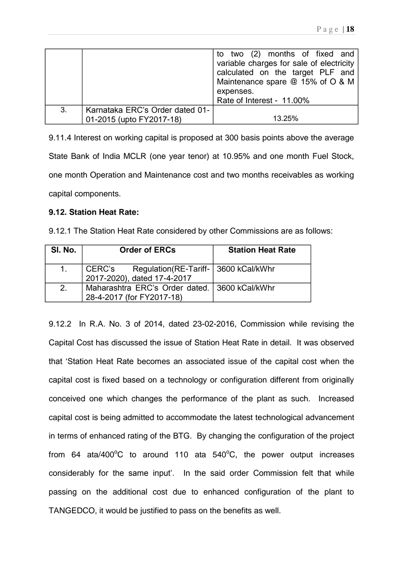|    |                                 | to two (2) months of fixed and           |
|----|---------------------------------|------------------------------------------|
|    |                                 | variable charges for sale of electricity |
|    |                                 | calculated on the target PLF and         |
|    |                                 | Maintenance spare @ 15% of O & M         |
|    |                                 | expenses.                                |
|    |                                 | Rate of Interest - 11.00%                |
| 3. | Karnataka ERC's Order dated 01- |                                          |
|    | 01-2015 (upto FY2017-18)        | 13.25%                                   |

9.11.4 Interest on working capital is proposed at 300 basis points above the average State Bank of India MCLR (one year tenor) at 10.95% and one month Fuel Stock, one month Operation and Maintenance cost and two months receivables as working capital components.

### **9.12. Station Heat Rate:**

| SI. No.     | <b>Order of ERCs</b>                                                          | <b>Station Heat Rate</b> |
|-------------|-------------------------------------------------------------------------------|--------------------------|
| $1_{\cdot}$ | CERC's Regulation (RE-Tariff-   3600 kCal/kWhr<br>2017-2020), dated 17-4-2017 |                          |
| 2.          | Maharashtra ERC's Order dated.   3600 kCal/kWhr<br>28-4-2017 (for FY2017-18)  |                          |

9.12.2 In R.A. No. 3 of 2014, dated 23-02-2016, Commission while revising the Capital Cost has discussed the issue of Station Heat Rate in detail. It was observed that 'Station Heat Rate becomes an associated issue of the capital cost when the capital cost is fixed based on a technology or configuration different from originally conceived one which changes the performance of the plant as such. Increased capital cost is being admitted to accommodate the latest technological advancement in terms of enhanced rating of the BTG. By changing the configuration of the project from 64 ata/400 $^{\circ}$ C to around 110 ata 540 $^{\circ}$ C, the power output increases considerably for the same input'. In the said order Commission felt that while passing on the additional cost due to enhanced configuration of the plant to TANGEDCO, it would be justified to pass on the benefits as well.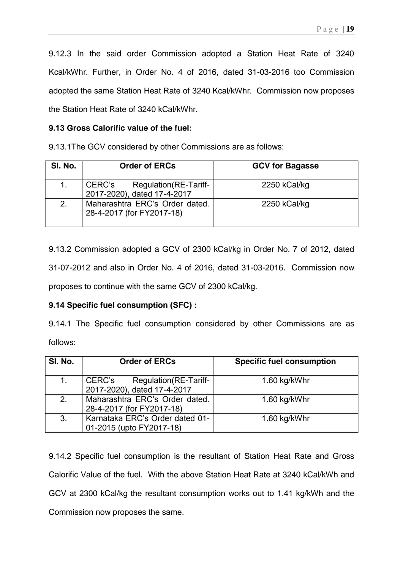9.12.3 In the said order Commission adopted a Station Heat Rate of 3240 Kcal/kWhr. Further, in Order No. 4 of 2016, dated 31-03-2016 too Commission adopted the same Station Heat Rate of 3240 Kcal/kWhr. Commission now proposes the Station Heat Rate of 3240 kCal/kWhr.

### **9.13 Gross Calorific value of the fuel:**

9.13.1The GCV considered by other Commissions are as follows:

| SI. No. | <b>Order of ERCs</b>                                            | <b>GCV for Bagasse</b> |
|---------|-----------------------------------------------------------------|------------------------|
| 1.      | CERC's<br>Regulation (RE-Tariff-<br>2017-2020), dated 17-4-2017 | 2250 kCal/kg           |
| 2.      | Maharashtra ERC's Order dated.<br>28-4-2017 (for FY2017-18)     | 2250 kCal/kg           |

9.13.2 Commission adopted a GCV of 2300 kCal/kg in Order No. 7 of 2012, dated 31-07-2012 and also in Order No. 4 of 2016, dated 31-03-2016. Commission now proposes to continue with the same GCV of 2300 kCal/kg.

### **9.14 Specific fuel consumption (SFC) :**

9.14.1 The Specific fuel consumption considered by other Commissions are as follows:

| SI. No. | <b>Order of ERCs</b>                                            | <b>Specific fuel consumption</b> |
|---------|-----------------------------------------------------------------|----------------------------------|
| 1.      | CERC's<br>Regulation (RE-Tariff-<br>2017-2020), dated 17-4-2017 | 1.60 kg/kWhr                     |
| 2.      | Maharashtra ERC's Order dated.<br>28-4-2017 (for FY2017-18)     | 1.60 kg/kWhr                     |
| 3.      | Karnataka ERC's Order dated 01-<br>01-2015 (upto FY2017-18)     | 1.60 kg/kWhr                     |

9.14.2 Specific fuel consumption is the resultant of Station Heat Rate and Gross Calorific Value of the fuel. With the above Station Heat Rate at 3240 kCal/kWh and GCV at 2300 kCal/kg the resultant consumption works out to 1.41 kg/kWh and the Commission now proposes the same.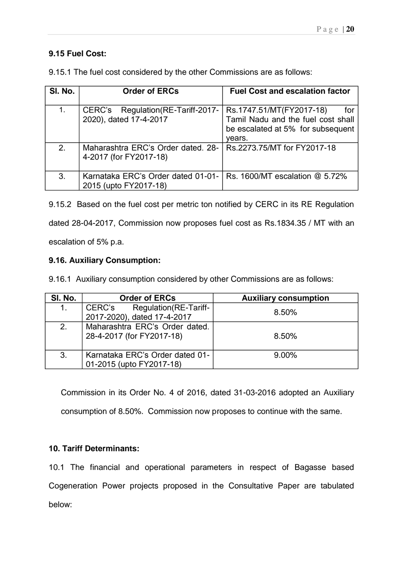### **9.15 Fuel Cost:**

| SI. No. | <b>Order of ERCs</b>                                                                       | <b>Fuel Cost and escalation factor</b>                                                                               |
|---------|--------------------------------------------------------------------------------------------|----------------------------------------------------------------------------------------------------------------------|
| 1.      | Regulation (RE-Tariff-2017-<br>CERC's<br>2020), dated 17-4-2017                            | Rs.1747.51/MT(FY2017-18)<br>for<br>Tamil Nadu and the fuel cost shall<br>be escalated at 5% for subsequent<br>vears. |
| 2.      | Maharashtra ERC's Order dated, 28-<br>4-2017 (for FY2017-18)                               | Rs.2273.75/MT for FY2017-18                                                                                          |
| 3.      | Karnataka ERC's Order dated 01-01- Rs. 1600/MT escalation @ 5.72%<br>2015 (upto FY2017-18) |                                                                                                                      |

9.15.1 The fuel cost considered by the other Commissions are as follows:

9.15.2 Based on the fuel cost per metric ton notified by CERC in its RE Regulation dated 28-04-2017, Commission now proposes fuel cost as Rs.1834.35 / MT with an escalation of 5% p.a.

### **9.16. Auxiliary Consumption:**

9.16.1 Auxiliary consumption considered by other Commissions are as follows:

| SI. No. | <b>Order of ERCs</b>                                            | <b>Auxiliary consumption</b> |
|---------|-----------------------------------------------------------------|------------------------------|
| 1.      | Regulation (RE-Tariff-<br>CERC's<br>2017-2020), dated 17-4-2017 | 8.50%                        |
| 2.      | Maharashtra ERC's Order dated.<br>28-4-2017 (for FY2017-18)     | 8.50%                        |
| 3.      | Karnataka ERC's Order dated 01-<br>01-2015 (upto FY2017-18)     | $9.00\%$                     |

Commission in its Order No. 4 of 2016, dated 31-03-2016 adopted an Auxiliary consumption of 8.50%. Commission now proposes to continue with the same.

### **10. Tariff Determinants:**

10.1 The financial and operational parameters in respect of Bagasse based Cogeneration Power projects proposed in the Consultative Paper are tabulated below: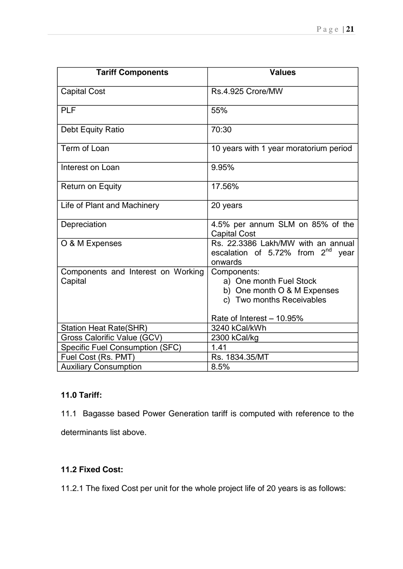| <b>Tariff Components</b>                      | <b>Values</b>                                                                                      |
|-----------------------------------------------|----------------------------------------------------------------------------------------------------|
| <b>Capital Cost</b>                           | Rs.4.925 Crore/MW                                                                                  |
| <b>PLF</b>                                    | 55%                                                                                                |
| Debt Equity Ratio                             | 70:30                                                                                              |
| Term of Loan                                  | 10 years with 1 year moratorium period                                                             |
| Interest on Loan                              | 9.95%                                                                                              |
| <b>Return on Equity</b>                       | 17.56%                                                                                             |
| Life of Plant and Machinery                   | 20 years                                                                                           |
| Depreciation                                  | 4.5% per annum SLM on 85% of the<br><b>Capital Cost</b>                                            |
| O & M Expenses                                | Rs. 22.3386 Lakh/MW with an annual<br>escalation of 5.72% from $2^{nd}$<br>vear<br>onwards         |
| Components and Interest on Working<br>Capital | Components:<br>a) One month Fuel Stock<br>b) One month O & M Expenses<br>c) Two months Receivables |
|                                               | Rate of Interest - 10.95%                                                                          |
| <b>Station Heat Rate(SHR)</b>                 | 3240 kCal/kWh                                                                                      |
| Gross Calorific Value (GCV)                   | 2300 kCal/kg                                                                                       |
| <b>Specific Fuel Consumption (SFC)</b>        | 1.41                                                                                               |
| Fuel Cost (Rs. PMT)                           | Rs. 1834.35/MT                                                                                     |
| <b>Auxiliary Consumption</b>                  | 8.5%                                                                                               |

### **11.0 Tariff:**

11.1 Bagasse based Power Generation tariff is computed with reference to the

determinants list above.

### **11.2 Fixed Cost:**

11.2.1 The fixed Cost per unit for the whole project life of 20 years is as follows: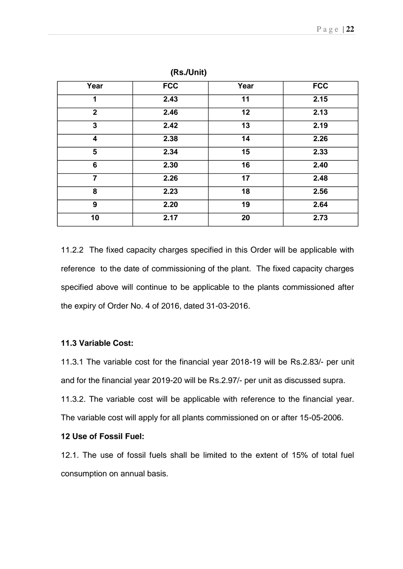| Year           | <b>FCC</b> | Year | <b>FCC</b> |
|----------------|------------|------|------------|
| 1              | 2.43       | 11   | 2.15       |
| $\overline{2}$ | 2.46       | 12   | 2.13       |
| 3              | 2.42       | 13   | 2.19       |
| 4              | 2.38       | 14   | 2.26       |
| 5              | 2.34       | 15   | 2.33       |
| 6              | 2.30       | 16   | 2.40       |
| $\overline{7}$ | 2.26       | 17   | 2.48       |
| 8              | 2.23       | 18   | 2.56       |
| 9              | 2.20       | 19   | 2.64       |
| 10             | 2.17       | 20   | 2.73       |

**(Rs./Unit)** 

11.2.2 The fixed capacity charges specified in this Order will be applicable with reference to the date of commissioning of the plant. The fixed capacity charges specified above will continue to be applicable to the plants commissioned after the expiry of Order No. 4 of 2016, dated 31-03-2016.

### **11.3 Variable Cost:**

11.3.1 The variable cost for the financial year 2018-19 will be Rs.2.83/- per unit and for the financial year 2019-20 will be Rs.2.97/- per unit as discussed supra. 11.3.2. The variable cost will be applicable with reference to the financial year. The variable cost will apply for all plants commissioned on or after 15-05-2006.

#### **12 Use of Fossil Fuel:**

12.1. The use of fossil fuels shall be limited to the extent of 15% of total fuel consumption on annual basis.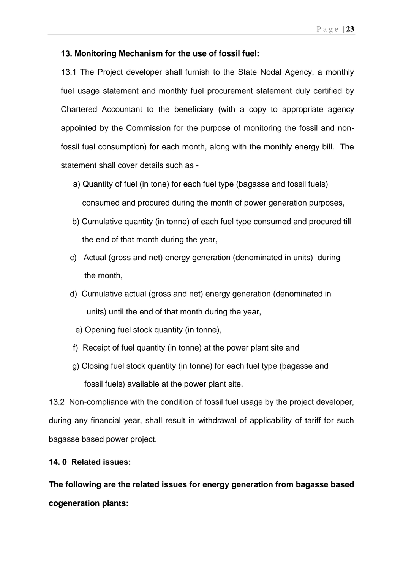#### **13. Monitoring Mechanism for the use of fossil fuel:**

13.1 The Project developer shall furnish to the State Nodal Agency, a monthly fuel usage statement and monthly fuel procurement statement duly certified by Chartered Accountant to the beneficiary (with a copy to appropriate agency appointed by the Commission for the purpose of monitoring the fossil and nonfossil fuel consumption) for each month, along with the monthly energy bill. The statement shall cover details such as -

- a) Quantity of fuel (in tone) for each fuel type (bagasse and fossil fuels) consumed and procured during the month of power generation purposes,
- b) Cumulative quantity (in tonne) of each fuel type consumed and procured till the end of that month during the year,
- c) Actual (gross and net) energy generation (denominated in units) during the month,
- d) Cumulative actual (gross and net) energy generation (denominated in units) until the end of that month during the year,
	- e) Opening fuel stock quantity (in tonne),
- f) Receipt of fuel quantity (in tonne) at the power plant site and
- g) Closing fuel stock quantity (in tonne) for each fuel type (bagasse and fossil fuels) available at the power plant site.

13.2 Non-compliance with the condition of fossil fuel usage by the project developer, during any financial year, shall result in withdrawal of applicability of tariff for such bagasse based power project.

### **14. 0 Related issues:**

**The following are the related issues for energy generation from bagasse based cogeneration plants:**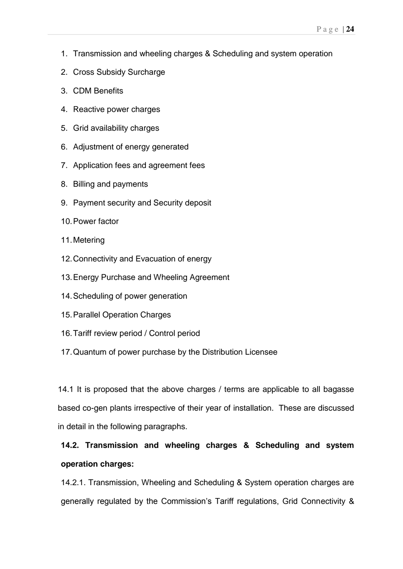- 1. Transmission and wheeling charges & Scheduling and system operation
- 2. Cross Subsidy Surcharge
- 3. CDM Benefits
- 4. Reactive power charges
- 5. Grid availability charges
- 6. Adjustment of energy generated
- 7. Application fees and agreement fees
- 8. Billing and payments
- 9. Payment security and Security deposit
- 10. Power factor
- 11. Metering
- 12. Connectivity and Evacuation of energy
- 13. Energy Purchase and Wheeling Agreement
- 14. Scheduling of power generation
- 15. Parallel Operation Charges
- 16. Tariff review period / Control period
- 17. Quantum of power purchase by the Distribution Licensee

14.1 It is proposed that the above charges / terms are applicable to all bagasse based co-gen plants irrespective of their year of installation. These are discussed in detail in the following paragraphs.

## **14.2. Transmission and wheeling charges & Scheduling and system operation charges:**

14.2.1. Transmission, Wheeling and Scheduling & System operation charges are generally regulated by the Commission's Tariff regulations, Grid Connectivity &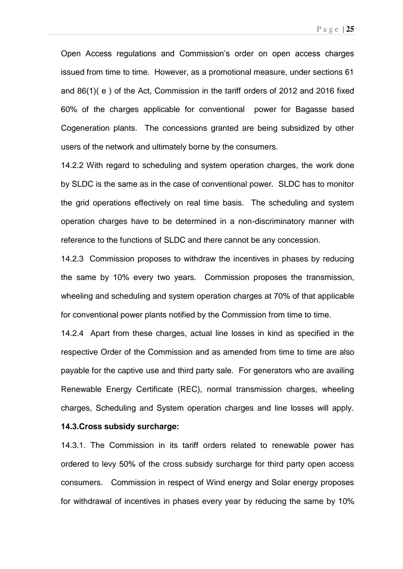Open Access regulations and Commission's order on open access charges issued from time to time. However, as a promotional measure, under sections 61 and 86(1)( e ) of the Act, Commission in the tariff orders of 2012 and 2016 fixed 60% of the charges applicable for conventional power for Bagasse based Cogeneration plants. The concessions granted are being subsidized by other users of the network and ultimately borne by the consumers.

14.2.2 With regard to scheduling and system operation charges, the work done by SLDC is the same as in the case of conventional power. SLDC has to monitor the grid operations effectively on real time basis. The scheduling and system operation charges have to be determined in a non-discriminatory manner with reference to the functions of SLDC and there cannot be any concession.

14.2.3 Commission proposes to withdraw the incentives in phases by reducing the same by 10% every two years. Commission proposes the transmission, wheeling and scheduling and system operation charges at 70% of that applicable for conventional power plants notified by the Commission from time to time.

14.2.4 Apart from these charges, actual line losses in kind as specified in the respective Order of the Commission and as amended from time to time are also payable for the captive use and third party sale. For generators who are availing Renewable Energy Certificate (REC), normal transmission charges, wheeling charges, Scheduling and System operation charges and line losses will apply.

### **14.3.Cross subsidy surcharge:**

14.3.1. The Commission in its tariff orders related to renewable power has ordered to levy 50% of the cross subsidy surcharge for third party open access consumers. Commission in respect of Wind energy and Solar energy proposes for withdrawal of incentives in phases every year by reducing the same by 10%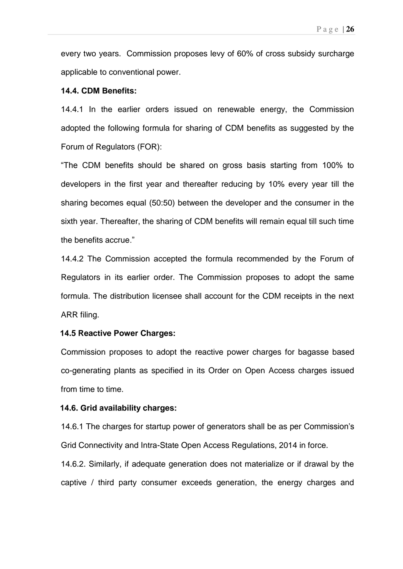every two years. Commission proposes levy of 60% of cross subsidy surcharge applicable to conventional power.

#### **14.4. CDM Benefits:**

14.4.1 In the earlier orders issued on renewable energy, the Commission adopted the following formula for sharing of CDM benefits as suggested by the Forum of Regulators (FOR):

"The CDM benefits should be shared on gross basis starting from 100% to developers in the first year and thereafter reducing by 10% every year till the sharing becomes equal (50:50) between the developer and the consumer in the sixth year. Thereafter, the sharing of CDM benefits will remain equal till such time the benefits accrue."

14.4.2 The Commission accepted the formula recommended by the Forum of Regulators in its earlier order. The Commission proposes to adopt the same formula. The distribution licensee shall account for the CDM receipts in the next ARR filing.

#### **14.5 Reactive Power Charges:**

Commission proposes to adopt the reactive power charges for bagasse based co-generating plants as specified in its Order on Open Access charges issued from time to time.

#### **14.6. Grid availability charges:**

14.6.1 The charges for startup power of generators shall be as per Commission's Grid Connectivity and Intra-State Open Access Regulations, 2014 in force.

14.6.2. Similarly, if adequate generation does not materialize or if drawal by the captive / third party consumer exceeds generation, the energy charges and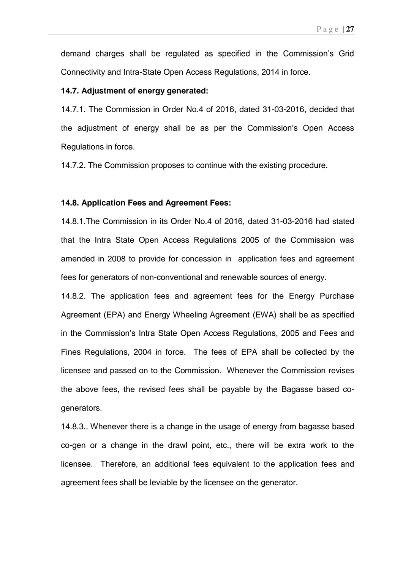demand charges shall be regulated as specified in the Commission's Grid Connectivity and Intra-State Open Access Regulations, 2014 in force.

#### **14.7. Adjustment of energy generated:**

14.7.1. The Commission in Order No.4 of 2016, dated 31-03-2016, decided that the adjustment of energy shall be as per the Commission's Open Access Regulations in force.

14.7.2. The Commission proposes to continue with the existing procedure.

#### **14.8. Application Fees and Agreement Fees:**

14.8.1.The Commission in its Order No.4 of 2016, dated 31-03-2016 had stated that the Intra State Open Access Regulations 2005 of the Commission was amended in 2008 to provide for concession in application fees and agreement fees for generators of non-conventional and renewable sources of energy.

14.8.2. The application fees and agreement fees for the Energy Purchase Agreement (EPA) and Energy Wheeling Agreement (EWA) shall be as specified in the Commission's Intra State Open Access Regulations, 2005 and Fees and Fines Regulations, 2004 in force. The fees of EPA shall be collected by the licensee and passed on to the Commission. Whenever the Commission revises the above fees, the revised fees shall be payable by the Bagasse based cogenerators.

14.8.3.. Whenever there is a change in the usage of energy from bagasse based co-gen or a change in the drawl point, etc., there will be extra work to the licensee. Therefore, an additional fees equivalent to the application fees and agreement fees shall be leviable by the licensee on the generator.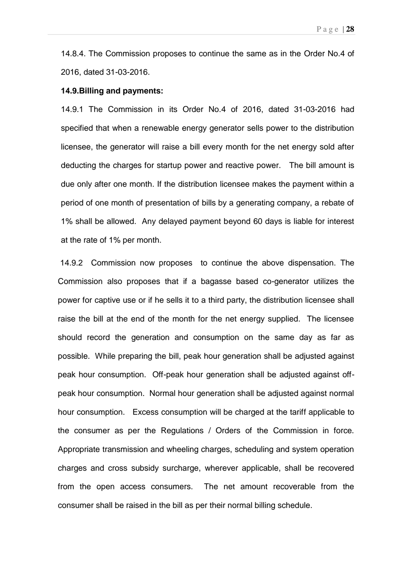14.8.4. The Commission proposes to continue the same as in the Order No.4 of 2016, dated 31-03-2016.

#### **14.9.Billing and payments:**

14.9.1 The Commission in its Order No.4 of 2016, dated 31-03-2016 had specified that when a renewable energy generator sells power to the distribution licensee, the generator will raise a bill every month for the net energy sold after deducting the charges for startup power and reactive power. The bill amount is due only after one month. If the distribution licensee makes the payment within a period of one month of presentation of bills by a generating company, a rebate of 1% shall be allowed. Any delayed payment beyond 60 days is liable for interest at the rate of 1% per month.

 14.9.2 Commission now proposes to continue the above dispensation. The Commission also proposes that if a bagasse based co-generator utilizes the power for captive use or if he sells it to a third party, the distribution licensee shall raise the bill at the end of the month for the net energy supplied. The licensee should record the generation and consumption on the same day as far as possible. While preparing the bill, peak hour generation shall be adjusted against peak hour consumption. Off-peak hour generation shall be adjusted against offpeak hour consumption. Normal hour generation shall be adjusted against normal hour consumption. Excess consumption will be charged at the tariff applicable to the consumer as per the Regulations / Orders of the Commission in force. Appropriate transmission and wheeling charges, scheduling and system operation charges and cross subsidy surcharge, wherever applicable, shall be recovered from the open access consumers. The net amount recoverable from the consumer shall be raised in the bill as per their normal billing schedule.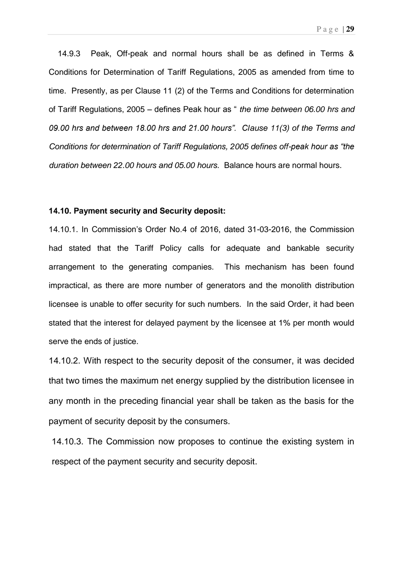14.9.3 Peak, Off-peak and normal hours shall be as defined in Terms & Conditions for Determination of Tariff Regulations, 2005 as amended from time to time. Presently, as per Clause 11 (2) of the Terms and Conditions for determination of Tariff Regulations,  $2005 -$  defines Peak hour as " the time between 06.00 hrs and 09.00 hrs and between 18.00 hrs and 21.00 hours". Clause 11(3) of the Terms and Conditions for determination of Tariff Regulations, 2005 defines off-peak hour as "the duration between 22.00 hours and 05.00 hours. Balance hours are normal hours.

#### **14.10. Payment security and Security deposit:**

14.10.1. In Commission's Order No.4 of 2016, dated 31-03-2016, the Commission had stated that the Tariff Policy calls for adequate and bankable security arrangement to the generating companies. This mechanism has been found impractical, as there are more number of generators and the monolith distribution licensee is unable to offer security for such numbers. In the said Order, it had been stated that the interest for delayed payment by the licensee at 1% per month would serve the ends of justice.

14.10.2. With respect to the security deposit of the consumer, it was decided that two times the maximum net energy supplied by the distribution licensee in any month in the preceding financial year shall be taken as the basis for the payment of security deposit by the consumers.

14.10.3. The Commission now proposes to continue the existing system in respect of the payment security and security deposit.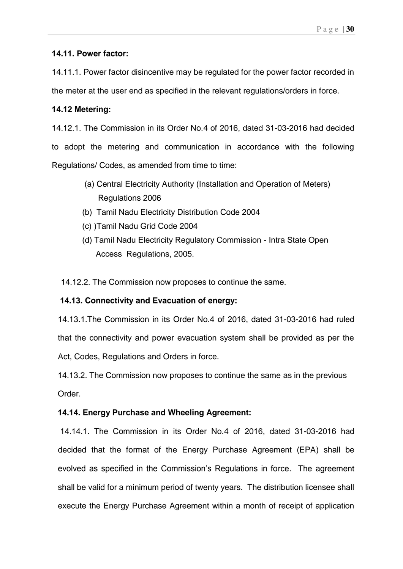### **14.11. Power factor:**

14.11.1. Power factor disincentive may be regulated for the power factor recorded in the meter at the user end as specified in the relevant regulations/orders in force.

### **14.12 Metering:**

14.12.1. The Commission in its Order No.4 of 2016, dated 31-03-2016 had decided to adopt the metering and communication in accordance with the following Regulations/ Codes, as amended from time to time:

- (a) Central Electricity Authority (Installation and Operation of Meters) Regulations 2006
- (b) Tamil Nadu Electricity Distribution Code 2004
- (c) )Tamil Nadu Grid Code 2004
- (d) Tamil Nadu Electricity Regulatory Commission Intra State Open Access Regulations, 2005.

14.12.2. The Commission now proposes to continue the same.

### **14.13. Connectivity and Evacuation of energy:**

14.13.1.The Commission in its Order No.4 of 2016, dated 31-03-2016 had ruled that the connectivity and power evacuation system shall be provided as per the Act, Codes, Regulations and Orders in force.

 14.13.2. The Commission now proposes to continue the same as in the previous Order.

### **14.14. Energy Purchase and Wheeling Agreement:**

 14.14.1. The Commission in its Order No.4 of 2016, dated 31-03-2016 had decided that the format of the Energy Purchase Agreement (EPA) shall be evolved as specified in the Commission's Regulations in force. The agreement shall be valid for a minimum period of twenty years. The distribution licensee shall execute the Energy Purchase Agreement within a month of receipt of application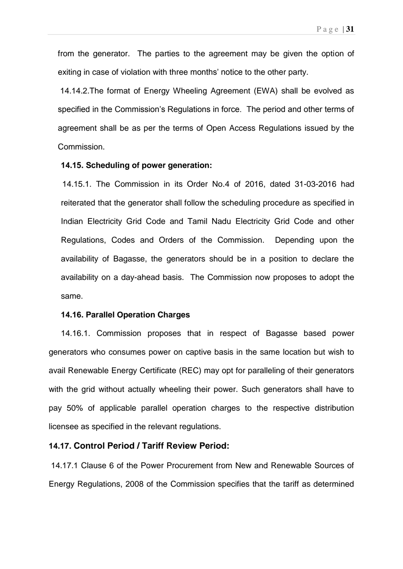from the generator. The parties to the agreement may be given the option of exiting in case of violation with three months' notice to the other party.

 14.14.2.The format of Energy Wheeling Agreement (EWA) shall be evolved as specified in the Commission's Regulations in force. The period and other terms of agreement shall be as per the terms of Open Access Regulations issued by the Commission.

#### **14.15. Scheduling of power generation:**

 14.15.1. The Commission in its Order No.4 of 2016, dated 31-03-2016 had reiterated that the generator shall follow the scheduling procedure as specified in Indian Electricity Grid Code and Tamil Nadu Electricity Grid Code and other Regulations, Codes and Orders of the Commission. Depending upon the availability of Bagasse, the generators should be in a position to declare the availability on a day-ahead basis. The Commission now proposes to adopt the same.

#### **14.16. Parallel Operation Charges**

14.16.1. Commission proposes that in respect of Bagasse based power generators who consumes power on captive basis in the same location but wish to avail Renewable Energy Certificate (REC) may opt for paralleling of their generators with the grid without actually wheeling their power. Such generators shall have to pay 50% of applicable parallel operation charges to the respective distribution licensee as specified in the relevant regulations.

### **14.17. Control Period / Tariff Review Period:**

14.17.1 Clause 6 of the Power Procurement from New and Renewable Sources of Energy Regulations, 2008 of the Commission specifies that the tariff as determined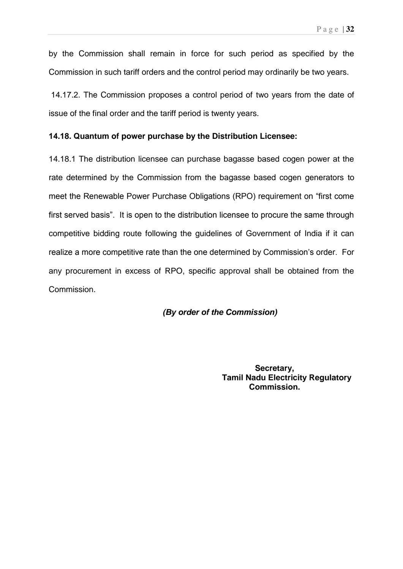by the Commission shall remain in force for such period as specified by the Commission in such tariff orders and the control period may ordinarily be two years.

14.17.2. The Commission proposes a control period of two years from the date of issue of the final order and the tariff period is twenty years.

#### **14.18. Quantum of power purchase by the Distribution Licensee:**

14.18.1 The distribution licensee can purchase bagasse based cogen power at the rate determined by the Commission from the bagasse based cogen generators to meet the Renewable Power Purchase Obligations (RPO) requirement on "first come first served basis". It is open to the distribution licensee to procure the same through competitive bidding route following the guidelines of Government of India if it can realize a more competitive rate than the one determined by Commission's order. For any procurement in excess of RPO, specific approval shall be obtained from the Commission.

### **(By order of the Commission)**

 **Secretary, Tamil Nadu Electricity Regulatory Commission.**